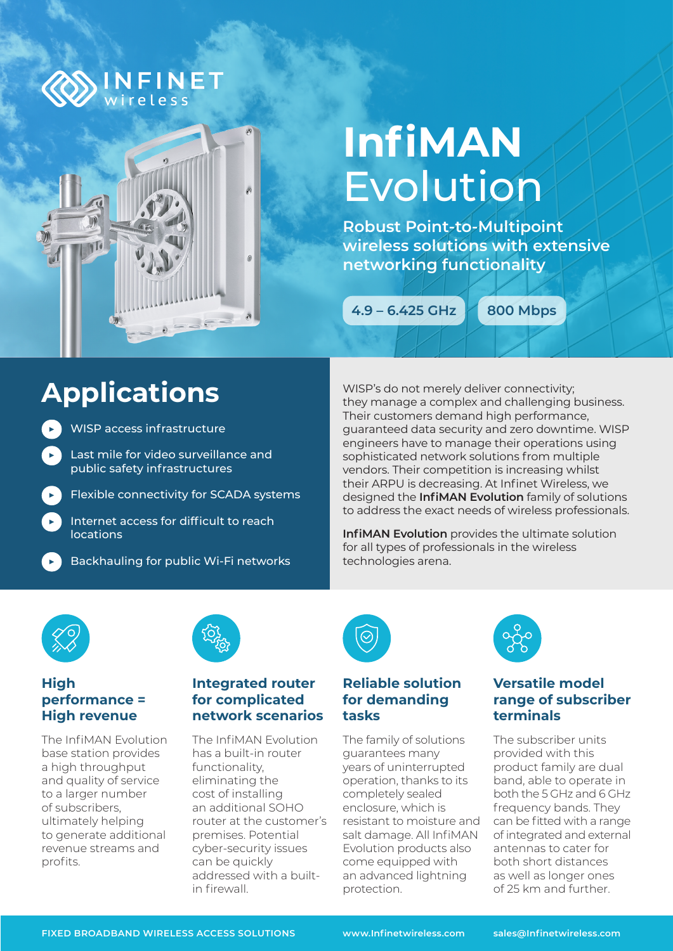

# **InfiMAN**  Evolution

**Robust Point-to-Multipoint wireless solutions with extensive networking functionality** 

**4.9 – 6.425 GHz 800 Mbps**

## **Applications**

- ▶ WISP access infrastructure
	- Last mile for video surveillance and public safety infrastructures
		- **Flexible connectivity for SCADA systems**
		- Internet access for difficult to reach locations

**Backhauling for public Wi-Fi networks** 

WISP's do not merely deliver connectivity; they manage a complex and challenging business. Their customers demand high performance, guaranteed data security and zero downtime. WISP engineers have to manage their operations using sophisticated network solutions from multiple vendors. Their competition is increasing whilst their ARPU is decreasing. At Infinet Wireless, we designed the **InfiMAN Evolution** family of solutions to address the exact needs of wireless professionals.

**InfiMAN Evolution** provides the ultimate solution for all types of professionals in the wireless technologies arena.



#### **High performance = High revenue**

The InfiMAN Evolution base station provides a high throughput and quality of service to a larger number of subscribers, ultimately helping to generate additional revenue streams and profits.



#### **Integrated router for complicated network scenarios**

À

The InfiMAN Evolution has a built-in router functionality, eliminating the cost of installing an additional SOHO router at the customer's premises. Potential cyber-security issues can be quickly addressed with a builtin firewall.



#### **Reliable solution for demanding tasks**

The family of solutions guarantees many years of uninterrupted operation, thanks to its completely sealed enclosure, which is resistant to moisture and salt damage. All InfiMAN Evolution products also come equipped with an advanced lightning protection.



### **Versatile model range of subscriber terminals**

The subscriber units provided with this product family are dual band, able to operate in both the 5 GHz and 6 GHz frequency bands. They can be fitted with a range of integrated and external antennas to cater for both short distances as well as longer ones of 25 km and further.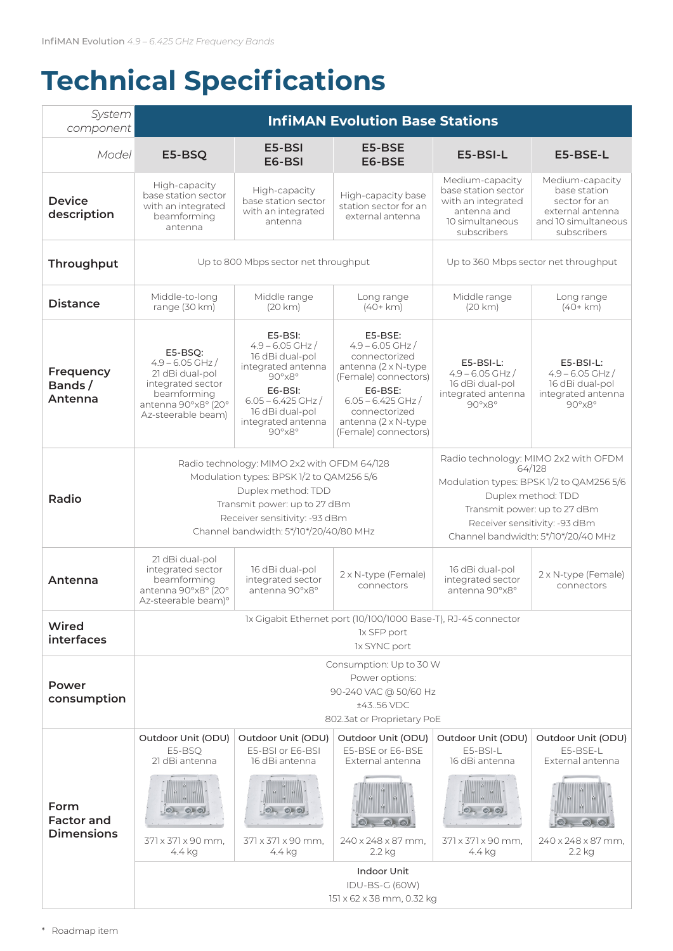## **Technical Specifications**

| System<br>component                            | <b>InfiMAN Evolution Base Stations</b>                                                                                                                                                                                   |                                                                                                                                                                                                                  |                                                                                                                                                                                                    |                                                                                                                                                                                                                          |                                                                                                            |  |  |
|------------------------------------------------|--------------------------------------------------------------------------------------------------------------------------------------------------------------------------------------------------------------------------|------------------------------------------------------------------------------------------------------------------------------------------------------------------------------------------------------------------|----------------------------------------------------------------------------------------------------------------------------------------------------------------------------------------------------|--------------------------------------------------------------------------------------------------------------------------------------------------------------------------------------------------------------------------|------------------------------------------------------------------------------------------------------------|--|--|
| Model                                          | E5-BSQ                                                                                                                                                                                                                   | E5-BSI<br>E6-BSI                                                                                                                                                                                                 | E5-BSE<br>E6-BSE                                                                                                                                                                                   | E5-BSI-L                                                                                                                                                                                                                 | E5-BSE-L                                                                                                   |  |  |
| <b>Device</b><br>description                   | High-capacity<br>base station sector<br>with an integrated<br>beamforming<br>antenna                                                                                                                                     | High-capacity<br>base station sector<br>with an integrated<br>antenna                                                                                                                                            | High-capacity base<br>station sector for an<br>external antenna                                                                                                                                    | Medium-capacity<br>base station sector<br>with an integrated<br>antenna and<br>10 simultaneous<br>subscribers                                                                                                            | Medium-capacity<br>base station<br>sector for an<br>external antenna<br>and 10 simultaneous<br>subscribers |  |  |
| Throughput                                     | Up to 800 Mbps sector net throughput                                                                                                                                                                                     |                                                                                                                                                                                                                  |                                                                                                                                                                                                    | Up to 360 Mbps sector net throughput                                                                                                                                                                                     |                                                                                                            |  |  |
| <b>Distance</b>                                | Middle-to-long<br>range (30 km)                                                                                                                                                                                          | Middle range<br>(20 km)                                                                                                                                                                                          | Long range<br>$(40+km)$                                                                                                                                                                            | Middle range<br>(20 km)                                                                                                                                                                                                  | Long range<br>$(40+km)$                                                                                    |  |  |
| Frequency<br>Bands/<br>Antenna                 | E5-BSQ:<br>$4.9 - 6.05$ GHz /<br>21 dBi dual-pol<br>integrated sector<br>beamforming<br>antenna 90°x8° (20°<br>Az-steerable beam)                                                                                        | $E5-BSI:$<br>$4.9 - 6.05$ GHz /<br>16 dBi dual-pol<br>integrated antenna<br>$90^{\circ}$ x $8^{\circ}$<br>E6-BSI:<br>$6.05 - 6.425$ GHz /<br>16 dBi dual-pol<br>integrated antenna<br>$90^{\circ}$ x $8^{\circ}$ | E5-BSE:<br>$4.9 - 6.05$ GHz /<br>connectorized<br>antenna (2 x N-type)<br>(Female) connectors)<br>E6-BSE:<br>$6.05 - 6.425$ GHz /<br>connectorized<br>antenna (2 x N-type)<br>(Female) connectors) | $E5-BSI-L$<br>$4.9 - 6.05$ GHz /<br>16 dBi dual-pol<br>integrated antenna<br>$90^\circ \times 8^\circ$                                                                                                                   | $E5-BSI-L:$<br>$4.9 - 6.05$ GHz /<br>16 dBi dual-pol<br>integrated antenna<br>$90^{\circ}$ x $8^{\circ}$   |  |  |
| Radio                                          | Radio technology: MIMO 2x2 with OFDM 64/128<br>Modulation types: BPSK 1/2 to QAM256 5/6<br>Duplex method: TDD<br>Transmit power: up to 27 dBm<br>Receiver sensitivity: -93 dBm<br>Channel bandwidth: 5*/10*/20/40/80 MHz |                                                                                                                                                                                                                  |                                                                                                                                                                                                    | Radio technology: MIMO 2x2 with OFDM<br>64/128<br>Modulation types: BPSK 1/2 to QAM256 5/6<br>Duplex method: TDD<br>Transmit power: up to 27 dBm<br>Receiver sensitivity: -93 dBm<br>Channel bandwidth: 5*/10*/20/40 MHz |                                                                                                            |  |  |
| Antenna                                        | 21 dBi dual-pol<br>integrated sector<br>beamforming<br>antenna 90°x8° (20°<br>Az-steerable beam)°                                                                                                                        | 16 dBi dual-pol<br>integrated sector<br>antenna 90°x8°                                                                                                                                                           | 2 x N-type (Female)<br>connectors                                                                                                                                                                  | 16 dBi dual-pol<br>integrated sector<br>antenna 90°x8°                                                                                                                                                                   | 2 x N-type (Female)<br>connectors                                                                          |  |  |
| Wired<br>interfaces                            | 1x Gigabit Ethernet port (10/100/1000 Base-T), RJ-45 connector<br>1x SFP port<br>1x SYNC port                                                                                                                            |                                                                                                                                                                                                                  |                                                                                                                                                                                                    |                                                                                                                                                                                                                          |                                                                                                            |  |  |
| Power<br>consumption                           | Consumption: Up to 30 W<br>Power options:<br>90-240 VAC @ 50/60 Hz<br>±4356 VDC<br>802.3at or Proprietary PoE                                                                                                            |                                                                                                                                                                                                                  |                                                                                                                                                                                                    |                                                                                                                                                                                                                          |                                                                                                            |  |  |
|                                                | Outdoor Unit (ODU)<br>E5-BSQ<br>21 dBi antenna                                                                                                                                                                           | Outdoor Unit (ODU)<br>E5-BSI or E6-BSI<br>16 dBi antenna                                                                                                                                                         | Outdoor Unit (ODU)<br>E5-BSE or E6-BSE<br>External antenna                                                                                                                                         | Outdoor Unit (ODU)<br>$F5-BSI-I$<br>16 dBi antenna                                                                                                                                                                       | Outdoor Unit (ODU)<br>E5-BSE-L<br>External antenna                                                         |  |  |
| Form<br><b>Factor and</b><br><b>Dimensions</b> | 0.00<br>371 x 371 x 90 mm,                                                                                                                                                                                               | 0.00<br>371 x 371 x 90 mm.                                                                                                                                                                                       | $\odot$ . $\odot$<br>240 x 248 x 87 mm,                                                                                                                                                            | 0.00<br>371 x 371 x 90 mm,                                                                                                                                                                                               | 240 x 248 x 87 mm,                                                                                         |  |  |
|                                                | 4.4 kg<br>4.4 kg<br>2.2 kg<br>4.4 kg<br>2.2 kg<br><b>Indoor Unit</b><br>IDU-BS-G (60W)<br>151 x 62 x 38 mm, 0.32 kg                                                                                                      |                                                                                                                                                                                                                  |                                                                                                                                                                                                    |                                                                                                                                                                                                                          |                                                                                                            |  |  |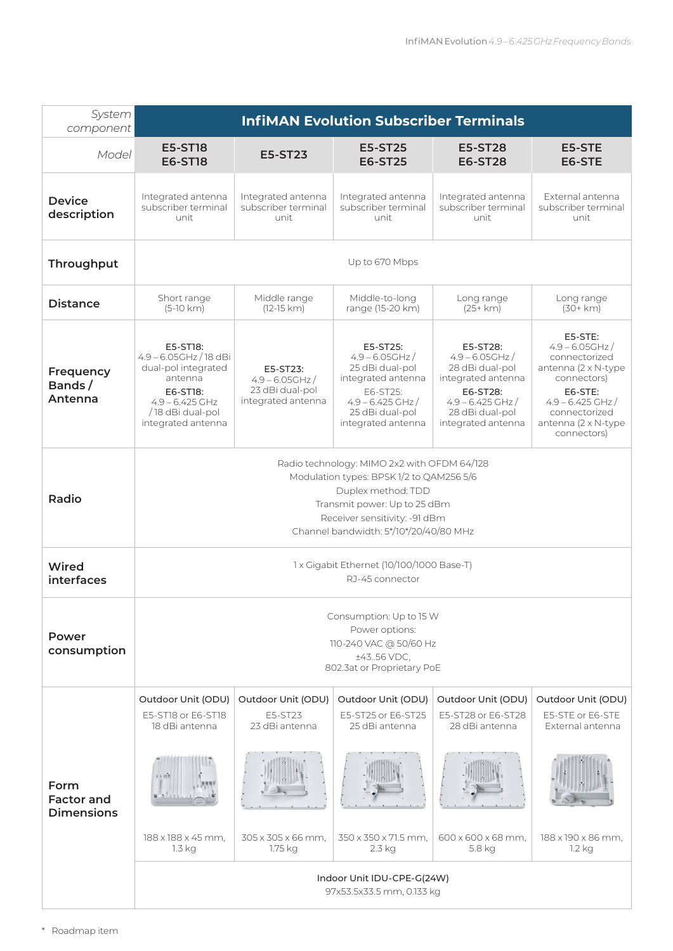| System<br>component                            | <b>InfiMAN Evolution Subscriber Terminals</b>                                                                                                                                                                            |                                                                         |                                                                                                                                                     |                                                                                                                                                     |                                                                                                                                                                               |  |  |
|------------------------------------------------|--------------------------------------------------------------------------------------------------------------------------------------------------------------------------------------------------------------------------|-------------------------------------------------------------------------|-----------------------------------------------------------------------------------------------------------------------------------------------------|-----------------------------------------------------------------------------------------------------------------------------------------------------|-------------------------------------------------------------------------------------------------------------------------------------------------------------------------------|--|--|
| Model                                          | <b>E5-ST18</b><br><b>E6-ST18</b>                                                                                                                                                                                         | <b>E5-ST23</b>                                                          | <b>E5-ST25</b><br><b>E6-ST25</b>                                                                                                                    | <b>E5-ST28</b><br><b>E6-ST28</b>                                                                                                                    | E5-STE<br>E6-STE                                                                                                                                                              |  |  |
| <b>Device</b><br>description                   | Integrated antenna<br>subscriber terminal<br>unit                                                                                                                                                                        | Integrated antenna<br>subscriber terminal<br>unit                       | Integrated antenna<br>subscriber terminal<br>unit                                                                                                   | Integrated antenna<br>subscriber terminal<br>unit                                                                                                   | External antenna<br>subscriber terminal<br>unit                                                                                                                               |  |  |
| Throughput                                     | Up to 670 Mbps                                                                                                                                                                                                           |                                                                         |                                                                                                                                                     |                                                                                                                                                     |                                                                                                                                                                               |  |  |
| <b>Distance</b>                                | Short range<br>$(5-10 km)$                                                                                                                                                                                               | Middle range<br>$(12-15 km)$                                            | Middle-to-long<br>range (15-20 km)                                                                                                                  | Long range<br>$(25+ km)$                                                                                                                            | Long range<br>$(30 + km)$                                                                                                                                                     |  |  |
| Frequency<br>Bands/<br>Antenna                 | E5-ST18:<br>$4.9 - 6.05$ GHz / 18 dBi<br>dual-pol integrated<br>antenna<br>E6-ST18:<br>$4.9 - 6.425$ GHz<br>/18 dBi dual-pol<br>integrated antenna                                                                       | E5-ST23:<br>$4.9 - 6.05$ GHz /<br>23 dBi dual-pol<br>integrated antenna | E5-ST25:<br>$4.9 - 6.05$ GHz /<br>25 dBi dual-pol<br>integrated antenna<br>E6-ST25:<br>$4.9 - 6.425$ GHz /<br>25 dBi dual-pol<br>integrated antenna | E5-ST28:<br>$4.9 - 6.05$ GHz /<br>28 dBi dual-pol<br>integrated antenna<br>E6-ST28:<br>$4.9 - 6.425$ GHz /<br>28 dBi dual-pol<br>integrated antenna | E5-STE:<br>$4.9 - 6.05$ GHz /<br>connectorized<br>antenna (2 x N-type<br>connectors)<br>E6-STE:<br>$4.9 - 6.425$ GHz /<br>connectorized<br>antenna (2 x N-type<br>connectors) |  |  |
| Radio                                          | Radio technology: MIMO 2x2 with OFDM 64/128<br>Modulation types: BPSK 1/2 to QAM256 5/6<br>Duplex method: TDD<br>Transmit power: Up to 25 dBm<br>Receiver sensitivity: -91 dBm<br>Channel bandwidth: 5*/10*/20/40/80 MHz |                                                                         |                                                                                                                                                     |                                                                                                                                                     |                                                                                                                                                                               |  |  |
| Wired<br>interfaces                            | 1 x Gigabit Ethernet (10/100/1000 Base-T)<br>RJ-45 connector                                                                                                                                                             |                                                                         |                                                                                                                                                     |                                                                                                                                                     |                                                                                                                                                                               |  |  |
| Power<br>consumption                           | Consumption: Up to 15 W<br>Power options:<br>110-240 VAC @ 50/60 Hz<br>±4356 VDC,<br>802.3at or Proprietary PoE                                                                                                          |                                                                         |                                                                                                                                                     |                                                                                                                                                     |                                                                                                                                                                               |  |  |
|                                                | Outdoor Unit (ODU)<br>E5-ST18 or E6-ST18                                                                                                                                                                                 | Outdoor Unit (ODU)<br>E5-ST23                                           | Outdoor Unit (ODU)<br>E5-ST25 or E6-ST25                                                                                                            | Outdoor Unit (ODU)<br>E5-ST28 or E6-ST28                                                                                                            | Outdoor Unit (ODU)<br>E5-STE or E6-STE                                                                                                                                        |  |  |
| Form<br><b>Factor and</b><br><b>Dimensions</b> | 18 dBi antenna<br>188 x 188 x 45 mm,<br>1.3 kg                                                                                                                                                                           | 23 dBi antenna<br>305 x 305 x 66 mm.<br>1.75 kg                         | 25 dBi antenna<br>350 x 350 x 71.5 mm.<br>2.3 kg<br>Indoor Unit IDU-CPE-G(24W)                                                                      | 28 dBi antenna<br>600 x 600 x 68 mm.<br>5.8 kg                                                                                                      | External antenna<br>188 x 190 x 86 mm,<br>1.2 kg                                                                                                                              |  |  |
|                                                | 97x53.5x33.5 mm, 0.133 kg                                                                                                                                                                                                |                                                                         |                                                                                                                                                     |                                                                                                                                                     |                                                                                                                                                                               |  |  |